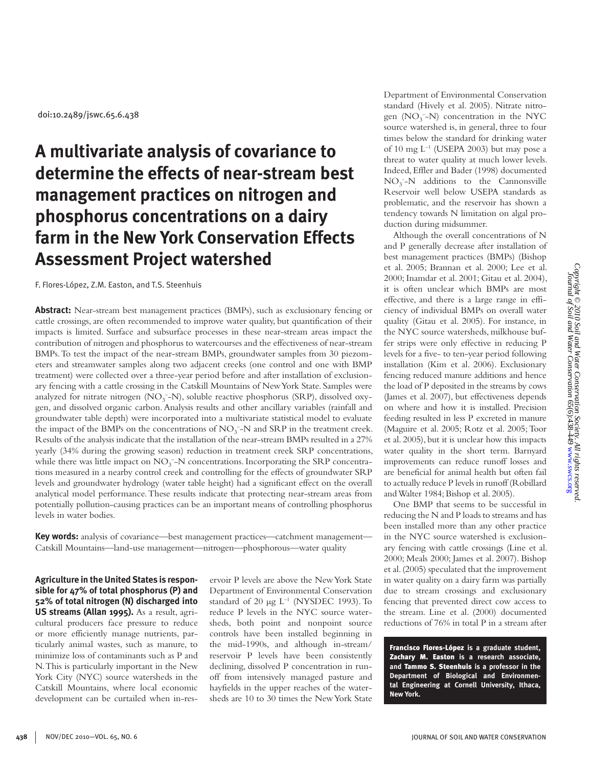# **A multivariate analysis of covariance to determine the effects of near-stream best management practices on nitrogen and phosphorus concentrations on a dairy farm in the New York Conservation Effects Assessment Project watershed**

F. Flores-López, Z.M. Easton, and T.S. Steenhuis

**Abstract:** Near-stream best management practices (BMPs), such as exclusionary fencing or cattle crossings, are often recommended to improve water quality, but quantification of their impacts is limited. Surface and subsurface processes in these near-stream areas impact the contribution of nitrogen and phosphorus to watercourses and the effectiveness of near-stream BMPs. To test the impact of the near-stream BMPs, groundwater samples from 30 piezometers and streamwater samples along two adjacent creeks (one control and one with BMP treatment) were collected over a three-year period before and after installation of exclusionary fencing with a cattle crossing in the Catskill Mountains of New York State. Samples were analyzed for nitrate nitrogen ( $NO_3^-$ -N), soluble reactive phosphorus (SRP), dissolved oxygen, and dissolved organic carbon. Analysis results and other ancillary variables (rainfall and groundwater table depth) were incorporated into a multivariate statistical model to evaluate the impact of the BMPs on the concentrations of  $NO<sub>3</sub><sup>-</sup>N$  and SRP in the treatment creek. Results of the analysis indicate that the installation of the near-stream BMPs resulted in a 27% yearly (34% during the growing season) reduction in treatment creek SRP concentrations, while there was little impact on NO<sub>3</sub><sup>-</sup>-N concentrations. Incorporating the SRP concentrations measured in a nearby control creek and controlling for the effects of groundwater SRP levels and groundwater hydrology (water table height) had a significant effect on the overall analytical model performance. These results indicate that protecting near-stream areas from potentially pollution-causing practices can be an important means of controlling phosphorus levels in water bodies.

**Key words:** analysis of covariance—best management practices—catchment management— Catskill Mountains—land-use management—nitrogen—phosphorous—water quality

**Agriculture in the United States is responsible for 47% of total phosphorus (P) and 52% of total nitrogen (N) discharged into US streams (Allan 1995).** As a result, agricultural producers face pressure to reduce or more efficiently manage nutrients, particularly animal wastes, such as manure, to minimize loss of contaminants such as P and N. This is particularly important in the New York City (NYC) source watersheds in the Catskill Mountains, where local economic development can be curtailed when in-reservoir P levels are above the New York State Department of Environmental Conservation standard of 20  $\mu$ g L<sup>-1</sup> (NYSDEC 1993). To reduce P levels in the NYC source watersheds, both point and nonpoint source controls have been installed beginning in the mid-1990s, and although in-stream/ reservoir P levels have been consistently declining, dissolved P concentration in runoff from intensively managed pasture and hayfields in the upper reaches of the watersheds are 10 to 30 times the New York State

Department of Environmental Conservation standard (Hively et al. 2005). Nitrate nitrogen (NO<sub>3</sub><sup>-</sup>-N) concentration in the NYC source watershed is, in general, three to four times below the standard for drinking water of 10 mg  $L^{-1}$  (USEPA 2003) but may pose a threat to water quality at much lower levels. Indeed, Effler and Bader (1998) documented  $NO_3^-$ -N additions to the Cannonsville Reservoir well below USEPA standards as problematic, and the reservoir has shown a tendency towards N limitation on algal production during midsummer.

Although the overall concentrations of N and P generally decrease after installation of best management practices (BMPs) (Bishop et al. 2005; Brannan et al. 2000; Lee et al. 2000; Inamdar et al. 2001; Gitau et al. 2004), it is often unclear which BMPs are most effective, and there is a large range in efficiency of individual BMPs on overall water quality (Gitau et al. 2005). For instance, in the NYC source watersheds, milkhouse buffer strips were only effective in reducing P levels for a five- to ten-year period following installation (Kim et al. 2006). Exclusionary fencing reduced manure additions and hence the load of P deposited in the streams by cows (James et al. 2007), but effectiveness depends on where and how it is installed. Precision feeding resulted in less P excreted in manure (Maguire et al. 2005; Rotz et al. 2005; Toor et al. 2005), but it is unclear how this impacts water quality in the short term. Barnyard improvements can reduce runoff losses and are beneficial for animal health but often fail to actually reduce P levels in runoff (Robillard and Walter 1984; Bishop et al. 2005).

One BMP that seems to be successful in reducing the N and P loads to streams and has been installed more than any other practice in the NYC source watershed is exclusionary fencing with cattle crossings (Line et al. 2000; Meals 2000; James et al. 2007). Bishop et al. (2005) speculated that the improvement in water quality on a dairy farm was partially due to stream crossings and exclusionary fencing that prevented direct cow access to the stream. Line et al. (2000) documented reductions of 76% in total P in a stream after

Francisco Flores-López **is a graduate student,**  Zachary M. Easton **is a research associate, and** Tammo S. Steenhuis **is a professor in the Department of Biological and Environmental Engineering at Cornell University, Ithaca, New York.**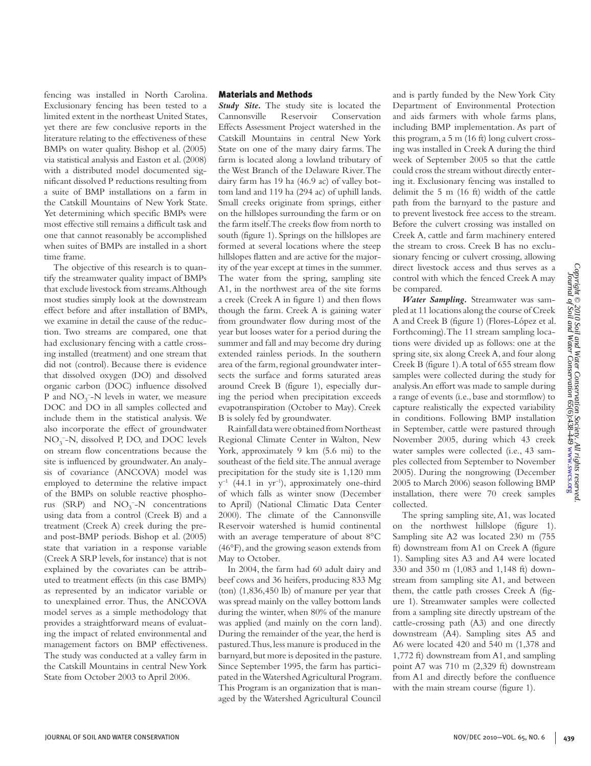fencing was installed in North Carolina. Exclusionary fencing has been tested to a limited extent in the northeast United States, yet there are few conclusive reports in the literature relating to the effectiveness of these BMPs on water quality. Bishop et al. (2005) via statistical analysis and Easton et al. (2008) with a distributed model documented significant dissolved P reductions resulting from a suite of BMP installations on a farm in the Catskill Mountains of New York State. Yet determining which specific BMPs were most effective still remains a difficult task and one that cannot reasonably be accomplished when suites of BMPs are installed in a short time frame.

The objective of this research is to quantify the streamwater quality impact of BMPs that exclude livestock from streams. Although most studies simply look at the downstream effect before and after installation of BMPs, we examine in detail the cause of the reduction. Two streams are compared, one that had exclusionary fencing with a cattle crossing installed (treatment) and one stream that did not (control). Because there is evidence that dissolved oxygen (DO) and dissolved organic carbon (DOC) influence dissolved P and NO<sub>3</sub><sup>-</sup>-N levels in water, we measure DOC and DO in all samples collected and include them in the statistical analysis. We also incorporate the effect of groundwater NO<sub>3</sub><sup>-</sup>-N, dissolved P, DO, and DOC levels on stream flow concentrations because the site is influenced by groundwater. An analysis of covariance (ANCOVA) model was employed to determine the relative impact of the BMPs on soluble reactive phosphorus (SRP) and  $NO<sub>3</sub><sup>-</sup>-N$  concentrations using data from a control (Creek B) and a treatment (Creek A) creek during the preand post-BMP periods. Bishop et al. (2005) state that variation in a response variable (Creek A SRP levels, for instance) that is not explained by the covariates can be attributed to treatment effects (in this case BMPs) as represented by an indicator variable or to unexplained error. Thus, the ANCOVA model serves as a simple methodology that provides a straightforward means of evaluating the impact of related environmental and management factors on BMP effectiveness. The study was conducted at a valley farm in the Catskill Mountains in central New York State from October 2003 to April 2006.

# Materials and Methods

*Study Site.* The study site is located the Cannonsville Reservoir Conservation Effects Assessment Project watershed in the Catskill Mountains in central New York State on one of the many dairy farms. The farm is located along a lowland tributary of the West Branch of the Delaware River. The dairy farm has 19 ha (46.9 ac) of valley bottom land and 119 ha (294 ac) of uphill lands. Small creeks originate from springs, either on the hillslopes surrounding the farm or on the farm itself. The creeks flow from north to south (figure 1). Springs on the hillslopes are formed at several locations where the steep hillslopes flatten and are active for the majority of the year except at times in the summer. The water from the spring, sampling site A1, in the northwest area of the site forms a creek (Creek A in figure 1) and then flows though the farm. Creek A is gaining water from groundwater flow during most of the year but looses water for a period during the summer and fall and may become dry during extended rainless periods. In the southern area of the farm, regional groundwater intersects the surface and forms saturated areas around Creek B (figure 1), especially during the period when precipitation exceeds evapotranspiration (October to May). Creek B is solely fed by groundwater.

Rainfall data were obtained from Northeast Regional Climate Center in Walton, New York, approximately 9 km (5.6 mi) to the southeast of the field site. The annual average precipitation for the study site is 1,120 mm  $y^{-1}$  (44.1 in  $yr^{-1}$ ), approximately one-third of which falls as winter snow (December to April) (National Climatic Data Center 2000). The climate of the Cannonsville Reservoir watershed is humid continental with an average temperature of about 8°C (46°F), and the growing season extends from May to October.

In 2004, the farm had 60 adult dairy and beef cows and 36 heifers, producing 833 Mg (ton) (1,836,450 lb) of manure per year that was spread mainly on the valley bottom lands during the winter, when 80% of the manure was applied (and mainly on the corn land). During the remainder of the year, the herd is pastured. Thus, less manure is produced in the barnyard, but more is deposited in the pasture. Since September 1995, the farm has participated in the Watershed Agricultural Program. This Program is an organization that is managed by the Watershed Agricultural Council

and is partly funded by the New York City Department of Environmental Protection and aids farmers with whole farms plans, including BMP implementation. As part of this program, a 5 m (16 ft) long culvert crossing was installed in Creek A during the third week of September 2005 so that the cattle could cross the stream without directly entering it. Exclusionary fencing was installed to delimit the 5 m (16 ft) width of the cattle path from the barnyard to the pasture and to prevent livestock free access to the stream. Before the culvert crossing was installed on Creek A, cattle and farm machinery entered the stream to cross. Creek B has no exclusionary fencing or culvert crossing, allowing direct livestock access and thus serves as a control with which the fenced Creek A may be compared.

*Water Sampling.* Streamwater was sampled at 11 locations along the course of Creek A and Creek B (figure 1) (Flores-López et al. Forthcoming). The 11 stream sampling locations were divided up as follows: one at the spring site, six along Creek A, and four along Creek B (figure 1). A total of 655 stream flow samples were collected during the study for analysis. An effort was made to sample during a range of events (i.e., base and stormflow) to capture realistically the expected variability in conditions. Following BMP installation in September, cattle were pastured through November 2005, during which 43 creek water samples were collected (i.e., 43 samples collected from September to November 2005). During the nongrowing (December 2005 to March 2006) season following BMP installation, there were 70 creek samples collected.

The spring sampling site, A1, was located on the northwest hillslope (figure 1). Sampling site A2 was located 230 m (755 ft) downstream from A1 on Creek A (figure 1). Sampling sites A3 and A4 were located 330 and 350 m (1,083 and 1,148 ft) downstream from sampling site A1, and between them, the cattle path crosses Creek A (figure 1). Streamwater samples were collected from a sampling site directly upstream of the cattle-crossing path (A3) and one directly downstream (A4). Sampling sites A5 and A6 were located 420 and 540 m (1,378 and 1,772 ft) downstream from A1, and sampling point A7 was 710 m (2,329 ft) downstream from A1 and directly before the confluence with the main stream course (figure 1).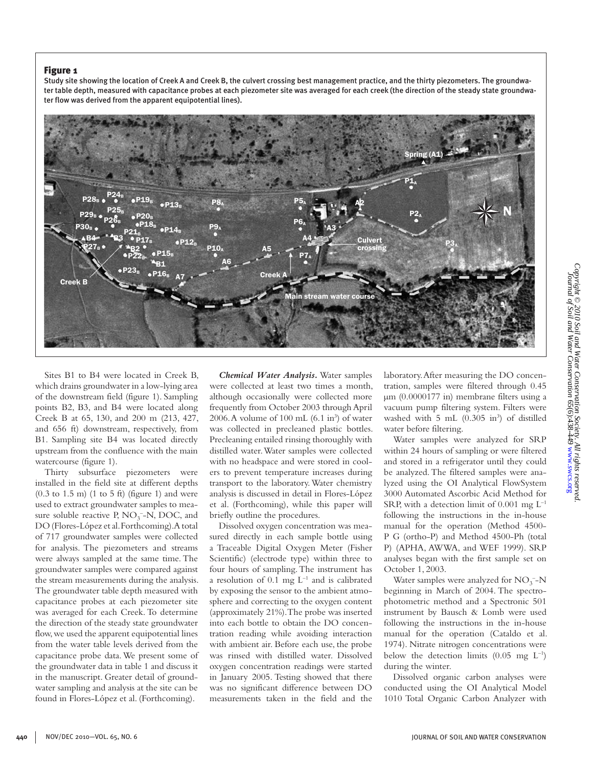# Figure 1

Study site showing the location of Creek A and Creek B, the culvert crossing best management practice, and the thirty piezometers. The groundwater table depth, measured with capacitance probes at each piezometer site was averaged for each creek (the direction of the steady state groundwater flow was derived from the apparent equipotential lines).



Sites B1 to B4 were located in Creek B, which drains groundwater in a low-lying area of the downstream field (figure 1). Sampling points B2, B3, and B4 were located along Creek B at 65, 130, and 200 m (213, 427, and 656 ft) downstream, respectively, from B1. Sampling site B4 was located directly upstream from the confluence with the main watercourse (figure 1).

Thirty subsurface piezometers were installed in the field site at different depths  $(0.3 \text{ to } 1.5 \text{ m})$   $(1 \text{ to } 5 \text{ ft})$  (figure 1) and were used to extract groundwater samples to measure soluble reactive P,  $NO<sub>3</sub><sup>-</sup>-N$ , DOC, and DO (Flores-López et al. Forthcoming). A total of 717 groundwater samples were collected for analysis. The piezometers and streams were always sampled at the same time. The groundwater samples were compared against the stream measurements during the analysis. The groundwater table depth measured with capacitance probes at each piezometer site was averaged for each Creek. To determine the direction of the steady state groundwater flow, we used the apparent equipotential lines from the water table levels derived from the capacitance probe data. We present some of the groundwater data in table 1 and discuss it in the manuscript. Greater detail of groundwater sampling and analysis at the site can be found in Flores-López et al. (Forthcoming).

*Chemical Water Analysis.* Water samples were collected at least two times a month, although occasionally were collected more frequently from October 2003 through April  $2006$ . A volume of  $100$  mL  $(6.1 \text{ in}^3)$  of water was collected in precleaned plastic bottles. Precleaning entailed rinsing thoroughly with distilled water. Water samples were collected with no headspace and were stored in coolers to prevent temperature increases during transport to the laboratory. Water chemistry analysis is discussed in detail in Flores-López et al. (Forthcoming), while this paper will briefly outline the procedures.

Dissolved oxygen concentration was measured directly in each sample bottle using a Traceable Digital Oxygen Meter (Fisher Scientific) (electrode type) within three to four hours of sampling. The instrument has a resolution of 0.1 mg  $L^{-1}$  and is calibrated by exposing the sensor to the ambient atmosphere and correcting to the oxygen content (approximately 21%). The probe was inserted into each bottle to obtain the DO concentration reading while avoiding interaction with ambient air. Before each use, the probe was rinsed with distilled water. Dissolved oxygen concentration readings were started in January 2005. Testing showed that there was no significant difference between DO measurements taken in the field and the

laboratory. After measuring the DO concentration, samples were filtered through 0.45 μm (0.0000177 in) membrane filters using a vacuum pump filtering system. Filters were washed with  $5$  mL  $(0.305 \text{ in}^3)$  of distilled water before filtering.

Water samples were analyzed for SRP within 24 hours of sampling or were filtered and stored in a refrigerator until they could be analyzed. The filtered samples were analyzed using the OI Analytical FlowSystem 3000 Automated Ascorbic Acid Method for SRP, with a detection limit of  $0.001$  mg  $L^{-1}$ following the instructions in the in-house manual for the operation (Method 4500- P G (ortho-P) and Method 4500-Ph (total P) (APHA, AWWA, and WEF 1999). SRP analyses began with the first sample set on October 1, 2003.

Water samples were analyzed for  $NO_3^-$ -N beginning in March of 2004. The spectrophotometric method and a Spectronic 501 instrument by Bausch & Lomb were used following the instructions in the in-house manual for the operation (Cataldo et al. 1974). Nitrate nitrogen concentrations were below the detection limits (0.05 mg  $L^{-1}$ ) during the winter.

Dissolved organic carbon analyses were conducted using the OI Analytical Model 1010 Total Organic Carbon Analyzer with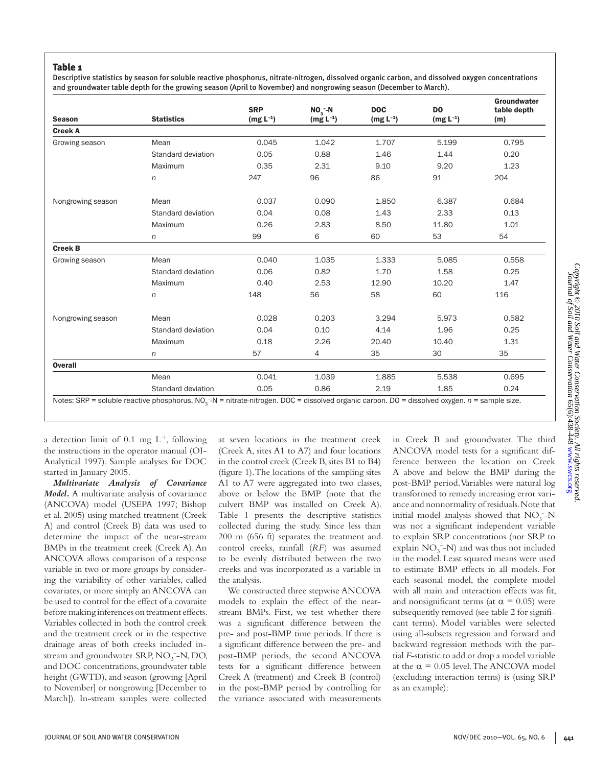# Table 1

Descriptive statistics by season for soluble reactive phosphorus, nitrate-nitrogen, dissolved organic carbon, and dissolved oxygen concentrations and groundwater table depth for the growing season (April to November) and nongrowing season (December to March).

| <b>Season</b>     | <b>Statistics</b>  | <b>SRP</b><br>$(mg L^{-1})$ | $NO3 - N$<br>$(mg L^{-1})$ | <b>DOC</b><br>$(mg L^{-1})$ | D <sub>O</sub><br>$(mg L^{-1})$ | Groundwater<br>table depth<br>(m) |
|-------------------|--------------------|-----------------------------|----------------------------|-----------------------------|---------------------------------|-----------------------------------|
| <b>Creek A</b>    |                    |                             |                            |                             |                                 |                                   |
| Growing season    | Mean               | 0.045                       | 1.042                      | 1.707                       | 5.199                           | 0.795                             |
|                   | Standard deviation | 0.05                        | 0.88                       | 1.46                        | 1.44                            | 0.20                              |
|                   | Maximum            | 0.35                        | 2.31                       | 9.10                        | 9.20                            | 1.23                              |
|                   | n                  | 247                         | 96                         | 86                          | 91                              | 204                               |
| Nongrowing season | Mean               | 0.037                       | 0.090                      | 1.850                       | 6.387                           | 0.684                             |
|                   | Standard deviation | 0.04                        | 0.08                       | 1.43                        | 2.33                            | 0.13                              |
|                   | Maximum            | 0.26                        | 2.83                       | 8.50                        | 11.80                           | 1.01                              |
|                   | n                  | 99                          | 6                          | 60                          | 53                              | 54                                |
| <b>Creek B</b>    |                    |                             |                            |                             |                                 |                                   |
| Growing season    | Mean               | 0.040                       | 1.035                      | 1.333                       | 5.085                           | 0.558                             |
|                   | Standard deviation | 0.06                        | 0.82                       | 1.70                        | 1.58                            | 0.25                              |
|                   | Maximum            | 0.40                        | 2.53                       | 12.90                       | 10.20                           | 1.47                              |
|                   | n                  | 148                         | 56                         | 58                          | 60                              | 116                               |
| Nongrowing season | Mean               | 0.028                       | 0.203                      | 3.294                       | 5.973                           | 0.582                             |
|                   | Standard deviation | 0.04                        | 0.10                       | 4.14                        | 1.96                            | 0.25                              |
|                   | Maximum            | 0.18                        | 2.26                       | 20.40                       | 10.40                           | 1.31                              |
|                   | n                  | 57                          | 4                          | 35                          | 30                              | 35                                |
| <b>Overall</b>    |                    |                             |                            |                             |                                 |                                   |
|                   | Mean               | 0.041                       | 1.039                      | 1.885                       | 5.538                           | 0.695                             |
|                   | Standard deviation | 0.05                        | 0.86                       | 2.19                        | 1.85                            | 0.24                              |

a detection limit of 0.1 mg  $L^{-1}$ , following the instructions in the operator manual (OI-Analytical 1997). Sample analyses for DOC started in January 2005.

*Multivariate Analysis of Covariance Model.* A multivariate analysis of covariance (ANCOVA) model (USEPA 1997; Bishop et al. 2005) using matched treatment (Creek A) and control (Creek B) data was used to determine the impact of the near-stream BMPs in the treatment creek (Creek A). An ANCOVA allows comparison of a response variable in two or more groups by considering the variability of other variables, called covariates, or more simply an ANCOVA can be used to control for the effect of a covaraite before making inferences on treatment effects. Variables collected in both the control creek and the treatment creek or in the respective drainage areas of both creeks included instream and groundwater SRP,  $NO<sub>3</sub>$ <sup>-</sup>-N, DO, and DOC concentrations, groundwater table height (GWTD), and season (growing [April to November] or nongrowing [December to March]). In-stream samples were collected

at seven locations in the treatment creek (Creek A, sites A1 to A7) and four locations in the control creek (Creek B, sites B1 to B4) (figure 1). The locations of the sampling sites A1 to A7 were aggregated into two classes, above or below the BMP (note that the culvert BMP was installed on Creek A). Table 1 presents the descriptive statistics collected during the study. Since less than 200 m (656 ft) separates the treatment and control creeks, rainfall (*RF*) was assumed to be evenly distributed between the two creeks and was incorporated as a variable in the analysis.

We constructed three stepwise ANCOVA models to explain the effect of the nearstream BMPs. First, we test whether there was a significant difference between the pre- and post-BMP time periods. If there is a significant difference between the pre- and post-BMP periods, the second ANCOVA tests for a significant difference between Creek A (treatment) and Creek B (control) in the post-BMP period by controlling for the variance associated with measurements

in Creek B and groundwater. The third ANCOVA model tests for a significant difference between the location on Creek A above and below the BMP during the post-BMP period. Variables were natural log transformed to remedy increasing error variance and nonnormality of residuals. Note that initial model analysis showed that  $NO<sub>3</sub>$ <sup>-</sup>-N was not a significant independent variable to explain SRP concentrations (nor SRP to explain  $NO_3^-$ -N) and was thus not included in the model. Least squared means were used to estimate BMP effects in all models. For each seasonal model, the complete model with all main and interaction effects was fit, and nonsignificant terms (at  $\alpha = 0.05$ ) were subsequently removed (see table 2 for significant terms). Model variables were selected using all-subsets regression and forward and backward regression methods with the partial *F*-statistic to add or drop a model variable at the  $\alpha$  = 0.05 level. The ANCOVA model (excluding interaction terms) is (using SRP as an example):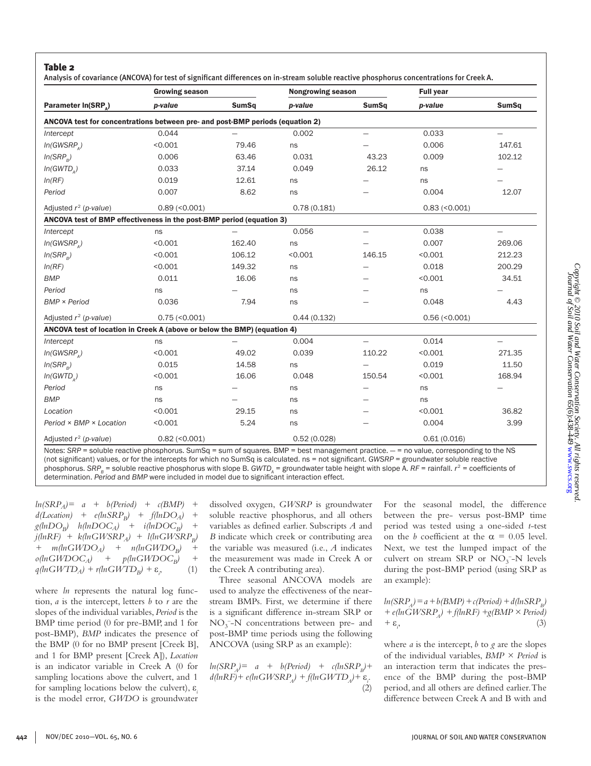Analysis of covariance (ANCOVA) for test of significant differences on in-stream soluble reactive phosphorus concentrations for Creek A.

|                                                                                                                                                               | <b>Growing season</b> |              | <b>Nongrowing season</b> |                          | <b>Full year</b>    |                          |  |
|---------------------------------------------------------------------------------------------------------------------------------------------------------------|-----------------------|--------------|--------------------------|--------------------------|---------------------|--------------------------|--|
| Parameter In(SRP <sub>^</sub> )                                                                                                                               | p-value               | <b>SumSq</b> | p-value                  | <b>SumSq</b>             | p-value             | <b>SumSq</b>             |  |
| ANCOVA test for concentrations between pre- and post-BMP periods (equation 2)                                                                                 |                       |              |                          |                          |                     |                          |  |
| Intercept                                                                                                                                                     | 0.044                 |              | 0.002                    |                          | 0.033               |                          |  |
| $In(GWSRP_{2})$                                                                                                                                               | < 0.001               | 79.46        | ns                       |                          | 0.006               | 147.61                   |  |
| ln(SRP <sub>B</sub> )                                                                                                                                         | 0.006                 | 63.46        | 0.031                    | 43.23                    | 0.009               | 102.12                   |  |
| In(GWTD <sub>a</sub> )                                                                                                                                        | 0.033                 | 37.14        | 0.049                    | 26.12                    | ns                  |                          |  |
| ln(RF)                                                                                                                                                        | 0.019                 | 12.61        | ns                       |                          | ns                  |                          |  |
| Period                                                                                                                                                        | 0.007                 | 8.62         | ns                       |                          | 0.004               | 12.07                    |  |
| Adjusted $r^2$ (p-value)                                                                                                                                      | $0.89$ (< $0.001$ )   |              | 0.78(0.181)              | $0.83$ (< $0.001$ )      |                     |                          |  |
| ANCOVA test of BMP effectiveness in the post-BMP period (equation 3)                                                                                          |                       |              |                          |                          |                     |                          |  |
| Intercept                                                                                                                                                     | ns                    |              | 0.056                    |                          | 0.038               | $\overline{\phantom{0}}$ |  |
| $In(GWSRP_1)$                                                                                                                                                 | < 0.001               | 162.40       | ns                       |                          | 0.007               | 269.06                   |  |
| In(SRP <sub>e</sub> )                                                                                                                                         | < 0.001               | 106.12       | < 0.001                  | 146.15                   | < 0.001             | 212.23                   |  |
| ln(RF)                                                                                                                                                        | < 0.001               | 149.32       | ns                       |                          | 0.018               | 200.29                   |  |
| <b>BMP</b>                                                                                                                                                    | 0.011                 | 16.06        | ns                       |                          | < 0.001             | 34.51                    |  |
| Period                                                                                                                                                        | ns                    |              | ns                       |                          | ns                  |                          |  |
| <b>BMP × Period</b>                                                                                                                                           | 0.036                 | 7.94         | ns                       |                          | 0.048               | 4.43                     |  |
| Adjusted $r^2$ (p-value)                                                                                                                                      | $0.75 \, (< 0.001)$   |              | 0.44(0.132)              |                          | $0.56 \, (< 0.001)$ |                          |  |
| ANCOVA test of location in Creek A (above or below the BMP) (equation 4)                                                                                      |                       |              |                          |                          |                     |                          |  |
| Intercept                                                                                                                                                     | ns                    |              | 0.004                    | $\overline{\phantom{0}}$ | 0.014               | $\overline{\phantom{0}}$ |  |
| In(GWSRP <sub>a</sub> )                                                                                                                                       | < 0.001               | 49.02        | 0.039                    | 110.22                   | < 0.001             | 271.35                   |  |
| ln(SRP <sub>a</sub> )                                                                                                                                         | 0.015                 | 14.58        | ns                       |                          | 0.019               | 11.50                    |  |
| In(GWTD <sub>a</sub> )                                                                                                                                        | < 0.001               | 16.06        | 0.048                    | 150.54                   | < 0.001             | 168.94                   |  |
| Period                                                                                                                                                        | ns                    |              | ns                       |                          | ns                  |                          |  |
| <b>BMP</b>                                                                                                                                                    | ns                    |              | ns                       |                          | ns                  |                          |  |
| Location                                                                                                                                                      | < 0.001               | 29.15        | ns                       |                          | < 0.001             | 36.82                    |  |
| Period × BMP × Location                                                                                                                                       | < 0.001               | 5.24         | ns                       |                          | 0.004               | 3.99                     |  |
| Adjusted $r^2$ (p-value)<br>Notes: SPD = soluble reastive phosphorus SumSa = sum of squares RMD = best management practice = no value corresponding to the NS | $0.82$ (< $0.001$ )   |              | 0.52(0.028)              |                          | 0.61(0.016)         |                          |  |

sum of squares. BMP = best management practice. — = no value, corresponding to the (not significant) values, or for the intercepts for which no SumSq is calculated. ns = not significant. *GWSRP* = groundwater soluble reactive phosphorus. SRP $_{_B}$  = soluble reactive phosphorus with slope B. GWTD<sub>A</sub> = groundwater table height with slope A. RF = rainfall.  $r^2$  = coefficients of determination. *Period* and *BMP* were included in model due to significant interaction effect.

*ln(SRPA)= a + b(Period) + c(BMP) +*   $d(Location)$  +  $e(hSRP_B)$  +  $f(hDO_A)$  +  $g(hDO_C)$   $h(hDOC_A)$  +  $i(hDOC_B)$  +  $g(hnDO_B)$   $h(hnDOC_A)$  +  $i(hnDOC_B)$  $j(lnRF)$  +  $k(lnGWSRP_A)$  +  $l(lnGWSRP_B)$ +  $m(hGWDO_A)$  +  $n(hGWDO_B)$  +<br> $o(hGWDOC_A)$  +  $p(hGWDOC_B)$  +  $+$  *p*(lnGWDOC<sub>B</sub>)  $q(lnGWTD_A) + r(lnGWTD_B) + \varepsilon_i$  $(1)$ 

where *ln* represents the natural log function, *a* is the intercept, letters *b* to *r* are the slopes of the individual variables, *Period* is the BMP time period (0 for pre-BMP, and 1 for post-BMP), *BMP* indicates the presence of the BMP (0 for no BMP present [Creek B], and 1 for BMP present [Creek A]), *Location* is an indicator variable in Creek A (0 for sampling locations above the culvert, and 1 for sampling locations below the culvert), ε*<sup>i</sup>* is the model error, *GWDO* is groundwater

dissolved oxygen, *GWSRP* is groundwater soluble reactive phosphorus, and all others variables as defined earlier. Subscripts *A* and *B* indicate which creek or contributing area the variable was measured (i.e., *A* indicates the measurement was made in Creek A or the Creek A contributing area).

Three seasonal ANCOVA models are used to analyze the effectiveness of the nearstream BMPs. First, we determine if there is a significant difference in-stream SRP or  $NO<sub>3</sub><sup>-</sup>-N$  concentrations between pre- and post-BMP time periods using the following ANCOVA (using SRP as an example):

 $ln(SRP_a) = a + b(Period) + c(lnSRP_a) + b(period)$  $d(lnRF) + e(lnGWSRP_A) + f(lnGWTD_A) + \varepsilon_i$ (2) For the seasonal model, the difference between the pre- versus post-BMP time period was tested using a one-sided *t*-test on the *b* coefficient at the  $\alpha = 0.05$  level. Next, we test the lumped impact of the culvert on stream SRP or  $NO<sub>3</sub><sup>-</sup>-N$  levels during the post-BMP period (using SRP as an example):

$$
ln(SRP_A) = a + b(BMP) + c(Period) + d(lnSRP_B)
$$
  
+  $e(lnGWSRP_A) + f(lnRF) + g(BMP \times Period)$   
+  $\varepsilon_i$ , (3)

where *a* is the intercept, *b* to *g* are the slopes of the individual variables, *BMP × Period* is an interaction term that indicates the presence of the BMP during the post-BMP period, and all others are defined earlier. The difference between Creek A and B with and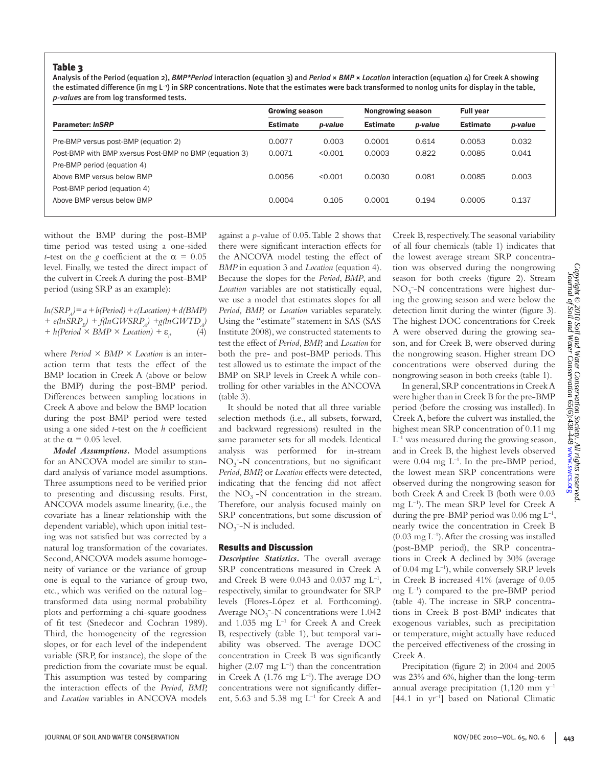# Table 3

Analysis of the Period (equation 2), *BMP\*Period* interaction (equation 3) and *Period* × *BMP* × *Location* interaction (equation 4) for Creek A showing the estimated difference (in mg L<sup>-1</sup>) in SRP concentrations. Note that the estimates were back transformed to nonlog units for display in the table, *p-values* are from log transformed tests.

|                                                        | <b>Growing season</b> |         | <b>Nongrowing season</b> |         | <b>Full year</b> |         |
|--------------------------------------------------------|-----------------------|---------|--------------------------|---------|------------------|---------|
| <b>Parameter: InSRP</b>                                | <b>Estimate</b>       | p-value | <b>Estimate</b>          | p-value | <b>Estimate</b>  | p-value |
| Pre-BMP versus post-BMP (equation 2)                   | 0.0077                | 0.003   | 0.0001                   | 0.614   | 0.0053           | 0.032   |
| Post-BMP with BMP xversus Post-BMP no BMP (equation 3) | 0.0071                | < 0.001 | 0.0003                   | 0.822   | 0.0085           | 0.041   |
| Pre-BMP period (equation 4)                            |                       |         |                          |         |                  |         |
| Above BMP versus below BMP                             | 0.0056                | < 0.001 | 0.0030                   | 0.081   | 0.0085           | 0.003   |
| Post-BMP period (equation 4)                           |                       |         |                          |         |                  |         |
| Above BMP versus below BMP                             | 0.0004                | 0.105   | 0.0001                   | 0.194   | 0.0005           | 0.137   |
|                                                        |                       |         |                          |         |                  |         |

without the BMP during the post-BMP time period was tested using a one-sided *t*-test on the *g* coefficient at the  $\alpha = 0.05$ level. Finally, we tested the direct impact of the culvert in Creek A during the post-BMP period (using SRP as an example):

 $ln(SRP<sub>i</sub>)=a+b(Period) + c(Location) + d(BMP)$  $+ e(hSRP_p) + f(hGWSRP_a) + g(hGWTD_a)$ *+ h(Period × BMP × Location) +* ε*<sup>i</sup>*  $(4)$ 

where *Period × BMP × Location* is an interaction term that tests the effect of the BMP location in Creek A (above or below the BMP) during the post-BMP period. Differences between sampling locations in Creek A above and below the BMP location during the post-BMP period were tested using a one sided *t*-test on the *h* coefficient at the  $\alpha$  = 0.05 level.

*Model Assumptions.* Model assumptions for an ANCOVA model are similar to standard analysis of variance model assumptions. Three assumptions need to be verified prior to presenting and discussing results. First, ANCOVA models assume linearity, (i.e., the covariate has a linear relationship with the dependent variable), which upon initial testing was not satisfied but was corrected by a natural log transformation of the covariates. Second, ANCOVA models assume homogeneity of variance or the variance of group one is equal to the variance of group two, etc., which was verified on the natural log– transformed data using normal probability plots and performing a chi-square goodness of fit test (Snedecor and Cochran 1989). Third, the homogeneity of the regression slopes, or for each level of the independent variable (SRP, for instance), the slope of the prediction from the covariate must be equal. This assumption was tested by comparing the interaction effects of the *Period, BMP,*  and *Location* variables in ANCOVA models

against a *p*-value of 0.05. Table 2 shows that there were significant interaction effects for the ANCOVA model testing the effect of *BMP* in equation 3 and *Location* (equation 4). Because the slopes for the *Period*, *BMP*, and *Location* variables are not statistically equal, we use a model that estimates slopes for all *Period, BMP,* or *Location* variables separately. Using the "estimate" statement in SAS (SAS Institute 2008), we constructed statements to test the effect of *Period, BMP,* and *Location* for both the pre- and post-BMP periods. This test allowed us to estimate the impact of the BMP on SRP levels in Creek A while controlling for other variables in the ANCOVA (table 3).

It should be noted that all three variable selection methods (i.e., all subsets, forward, and backward regressions) resulted in the same parameter sets for all models. Identical analysis was performed for in-stream NO3 - -N concentrations, but no significant *Period, BMP,* or *Location* effects were detected, indicating that the fencing did not affect the  $NO_3^-$ -N concentration in the stream. Therefore, our analysis focused mainly on SRP concentrations, but some discussion of  $NO_3^-$ -N is included.

#### Results and Discussion

*Descriptive Statistics.* The overall average SRP concentrations measured in Creek A and Creek B were  $0.043$  and  $0.037$  mg  $L^{-1}$ , respectively, similar to groundwater for SRP levels (Flores-López et al. Forthcoming). Average  $NO_3^-$ -N concentrations were 1.042 and  $1.035$  mg  $L^{-1}$  for Creek A and Creek B, respectively (table 1), but temporal variability was observed. The average DOC concentration in Creek B was significantly higher  $(2.07 \text{ mg } L^{-1})$  than the concentration in Creek A  $(1.76 \text{ mg } L^{-1})$ . The average DO concentrations were not significantly different, 5.63 and 5.38 mg  $L^{-1}$  for Creek A and

Creek B, respectively. The seasonal variability of all four chemicals (table 1) indicates that the lowest average stream SRP concentration was observed during the nongrowing season for both creeks (figure 2). Stream  $NO<sub>3</sub><sup>-</sup>-N$  concentrations were highest during the growing season and were below the detection limit during the winter (figure 3). The highest DOC concentrations for Creek A were observed during the growing season, and for Creek B, were observed during the nongrowing season. Higher stream DO concentrations were observed during the nongrowing season in both creeks (table 1).

In general, SRP concentrations in Creek A were higher than in Creek B for the pre-BMP period (before the crossing was installed). In Creek A, before the culvert was installed, the highest mean SRP concentration of 0.11 mg  $L^{-1}$  was measured during the growing season, and in Creek B, the highest levels observed were  $0.04 \text{ mg } L^{-1}$ . In the pre-BMP period, the lowest mean SRP concentrations were observed during the nongrowing season for both Creek A and Creek B (both were 0.03 mg L–1). The mean SRP level for Creek A during the pre-BMP period was  $0.06 \text{ mg L}^{-1}$ , nearly twice the concentration in Creek B  $(0.03 \text{ mg L}^{-1})$ . After the crossing was installed (post-BMP period), the SRP concentrations in Creek A declined by 30% (average of 0.04 mg  $L^{-1}$ ), while conversely SRP levels in Creek B increased 41% (average of 0.05 mg L–1) compared to the pre-BMP period (table 4). The increase in SRP concentrations in Creek B post-BMP indicates that exogenous variables, such as precipitation or temperature, might actually have reduced the perceived effectiveness of the crossing in Creek A.

Precipitation (figure 2) in 2004 and 2005 was 23% and 6%, higher than the long-term annual average precipitation  $(1,120 \text{ mm y}^{-1})$ [44.1 in yr–1] based on National Climatic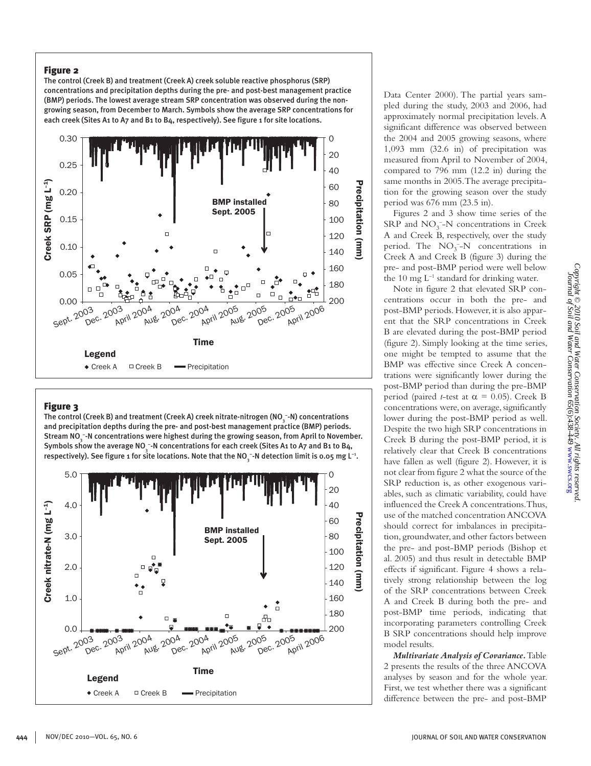# Figure 2

The control (Creek B) and treatment (Creek A) creek soluble reactive phosphorus (SRP) concentrations and precipitation depths during the pre- and post-best management practice (BMP) periods. The lowest average stream SRP concentration was observed during the nongrowing season, from December to March. Symbols show the average SRP concentrations for each creek (Sites A1 to A7 and B1 to B4, respectively). See figure 1 for site locations.



# **Figure 3**

The control (Creek B) and treatment (Creek A) creek nitrate-nitrogen (NO  $_{\tiny{\text{s}}}$ -N) concentrations and precipitation depths during the pre- and post-best management practice (BMP) periods. Stream NO $_3^{\text{-}-}$ N concentrations were highest during the growing season, from April to November. Symbols show the average NO  $_{\tiny 3}^{\tiny -}$ -N concentrations for each creek (Sites A1 to A7 and B1 to B4, respectively). See figure 1 for site locations. Note that the NO  $_{\tiny{\overline{3}}}$  -N detection limit is 0.05 mg L  $^{\tiny{\textrm{\tiny{1}}}}$ .



Data Center 2000). The partial years sampled during the study, 2003 and 2006, had approximately normal precipitation levels. A significant difference was observed between the 2004 and 2005 growing seasons, where 1,093 mm (32.6 in) of precipitation was measured from April to November of 2004, compared to 796 mm (12.2 in) during the same months in 2005. The average precipitation for the growing season over the study period was 676 mm (23.5 in).

Figures 2 and 3 show time series of the  $SRP$  and  $NO<sub>3</sub><sup>-</sup>-N$  concentrations in Creek A and Creek B, respectively, over the study period. The  $NO_3^-$ -N concentrations in Creek A and Creek B (figure 3) during the pre- and post-BMP period were well below the 10 mg  $L^{-1}$  standard for drinking water.

Note in figure 2 that elevated SRP concentrations occur in both the pre- and post-BMP periods. However, it is also apparent that the SRP concentrations in Creek B are elevated during the post-BMP period (figure 2). Simply looking at the time series, one might be tempted to assume that the BMP was effective since Creek A concentrations were significantly lower during the post-BMP period than during the pre-BMP period (paired *t*-test at  $\alpha = 0.05$ ). Creek B concentrations were, on average, significantly lower during the post-BMP period as well. Despite the two high SRP concentrations in Creek B during the post-BMP period, it is relatively clear that Creek B concentrations have fallen as well (figure 2). However, it is not clear from figure 2 what the source of the SRP reduction is, as other exogenous variables, such as climatic variability, could have influenced the Creek A concentrations. Thus, use of the matched concentration ANCOVA should correct for imbalances in precipitation, groundwater, and other factors between the pre- and post-BMP periods (Bishop et al. 2005) and thus result in detectable BMP effects if significant. Figure 4 shows a relatively strong relationship between the log of the SRP concentrations between Creek A and Creek B during both the pre- and post-BMP time periods, indicating that incorporating parameters controlling Creek B SRP concentrations should help improve model results.

*Multivariate Analysis of Covariance.* Table 2 presents the results of the three ANCOVA analyses by season and for the whole year. First, we test whether there was a significant difference between the pre- and post-BMP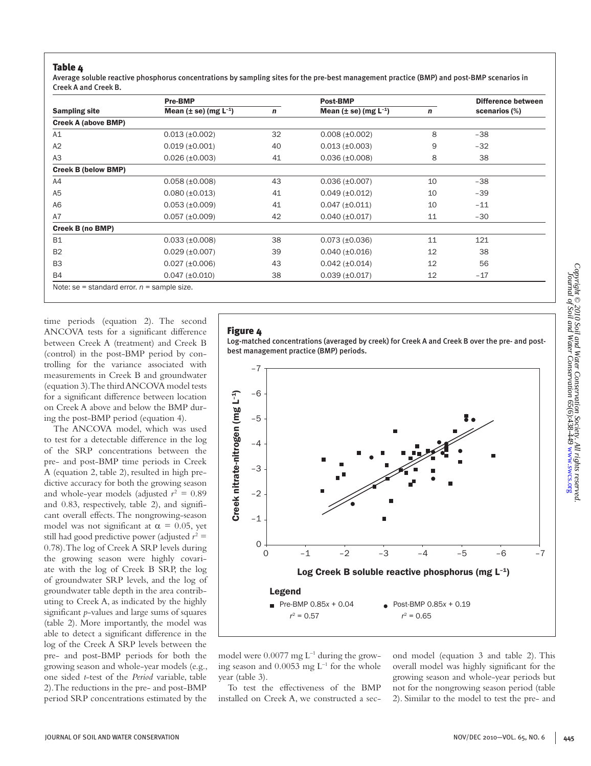# Table 4

Average soluble reactive phosphorus concentrations by sampling sites for the pre-best management practice (BMP) and post-BMP scenarios in Creek A and Creek B.

|                                               | <b>Pre-BMP</b>                 |    | <b>Post-BMP</b>                | Difference between |               |  |
|-----------------------------------------------|--------------------------------|----|--------------------------------|--------------------|---------------|--|
| <b>Sampling site</b>                          | Mean $(\pm$ se) (mg $L^{-1}$ ) | n  | Mean $(\pm$ se) (mg $L^{-1}$ ) | $\mathbf n$        | scenarios (%) |  |
| <b>Creek A (above BMP)</b>                    |                                |    |                                |                    |               |  |
| A1                                            | $0.013 (\pm 0.002)$            | 32 | $0.008 (\pm 0.002)$            | 8                  | $-38$         |  |
| A2                                            | $0.019$ ( $\pm 0.001$ )        | 40 | $0.013 (\pm 0.003)$            | 9                  | $-32$         |  |
| A <sub>3</sub>                                | $0.026 (\pm 0.003)$            | 41 | $0.036 (\pm 0.008)$            | 8                  | 38            |  |
| <b>Creek B (below BMP)</b>                    |                                |    |                                |                    |               |  |
| A4                                            | $0.058 (\pm 0.008)$            | 43 | $0.036 (\pm 0.007)$            | 10                 | $-38$         |  |
| A <sub>5</sub>                                | $0.080 (\pm 0.013)$            | 41 | $0.049$ ( $\pm 0.012$ )        | 10                 | $-39$         |  |
| A <sub>6</sub>                                | $0.053$ ( $\pm 0.009$ )        | 41 | $0.047 (\pm 0.011)$            | 10                 | $-11$         |  |
| A7                                            | $0.057 (\pm 0.009)$            | 42 | $0.040$ ( $\pm 0.017$ )        | 11                 | $-30$         |  |
| <b>Creek B (no BMP)</b>                       |                                |    |                                |                    |               |  |
| <b>B1</b>                                     | $0.033$ ( $\pm 0.008$ )        | 38 | $0.073 (\pm 0.036)$            | 11                 | 121           |  |
| <b>B2</b>                                     | $0.029$ ( $\pm 0.007$ )        | 39 | $0.040$ ( $\pm 0.016$ )        | 12                 | 38            |  |
| B <sub>3</sub>                                | $0.027 (\pm 0.006)$            | 43 | $0.042 (\pm 0.014)$            | 12                 | 56            |  |
| <b>B4</b>                                     | $0.047 (\pm 0.010)$            | 38 | $0.039$ ( $\pm 0.017$ )        | 12                 | $-17$         |  |
| Note: se = standard error. $n$ = sample size. |                                |    |                                |                    |               |  |

time periods (equation 2). The second ANCOVA tests for a significant difference between Creek A (treatment) and Creek B (control) in the post-BMP period by controlling for the variance associated with measurements in Creek B and groundwater (equation 3). The third ANCOVA model tests for a significant difference between location on Creek A above and below the BMP during the post-BMP period (equation 4).

The ANCOVA model, which was used to test for a detectable difference in the log of the SRP concentrations between the pre- and post-BMP time periods in Creek A (equation 2, table 2), resulted in high predictive accuracy for both the growing season and whole-year models (adjusted  $r^2 = 0.89$ ) and 0.83, respectively, table 2), and significant overall effects. The nongrowing-season model was not significant at  $\alpha = 0.05$ , yet still had good predictive power (adjusted  $r^2 =$ 0.78). The log of Creek A SRP levels during the growing season were highly covariate with the log of Creek B SRP, the log of groundwater SRP levels, and the log of groundwater table depth in the area contributing to Creek A, as indicated by the highly significant *p*-values and large sums of squares (table 2). More importantly, the model was able to detect a significant difference in the log of the Creek A SRP levels between the pre- and post-BMP periods for both the growing season and whole-year models (e.g., one sided *t*-test of the *Period* variable, table 2). The reductions in the pre- and post-BMP period SRP concentrations estimated by the

# Figure 4

Log-matched concentrations (averaged by creek) for Creek A and Creek B over the pre- and postbest management practice (BMP) periods.



model were  $0.0077$  mg  $L^{-1}$  during the growing season and  $0.0053$  mg  $L^{-1}$  for the whole year (table 3).

To test the effectiveness of the BMP installed on Creek A, we constructed a second model (equation 3 and table 2). This overall model was highly significant for the growing season and whole-year periods but not for the nongrowing season period (table 2). Similar to the model to test the pre- and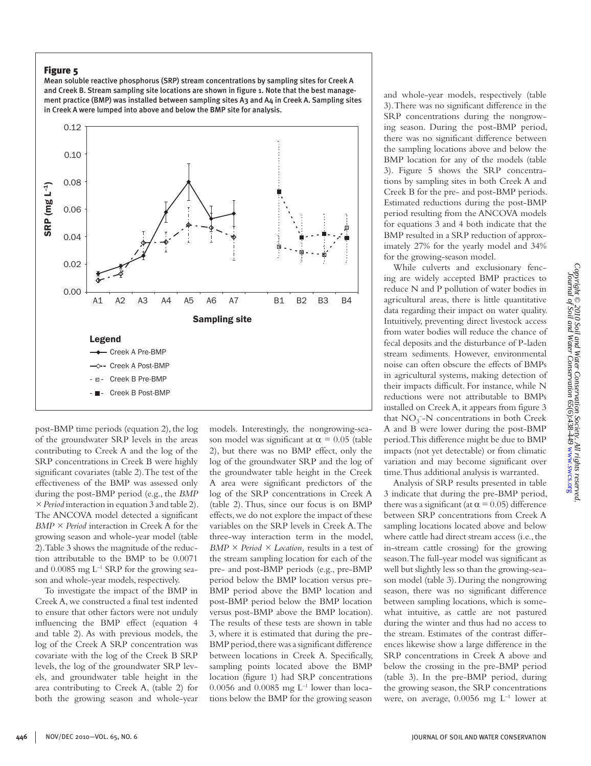# Figure 5

Mean soluble reactive phosphorus (SRP) stream concentrations by sampling sites for Creek A and Creek B. Stream sampling site locations are shown in figure 1. Note that the best management practice (BMP) was installed between sampling sites A3 and  $A_4$  in Creek A. Sampling sites in Creek A were lumped into above and below the BMP site for analysis.



post-BMP time periods (equation 2), the log of the groundwater SRP levels in the areas contributing to Creek A and the log of the SRP concentrations in Creek B were highly significant covariates (table 2). The test of the effectiveness of the BMP was assessed only during the post-BMP period (e.g., the *BMP × Period* interaction in equation 3 and table 2). The ANCOVA model detected a significant *BMP × Period* interaction in Creek A for the growing season and whole-year model (table 2). Table 3 shows the magnitude of the reduction attributable to the BMP to be 0.0071 and  $0.0085$  mg  $L^{-1}$  SRP for the growing season and whole-year models, respectively.

To investigate the impact of the BMP in Creek A, we constructed a final test indented to ensure that other factors were not unduly influencing the BMP effect (equation 4 and table 2). As with previous models, the log of the Creek A SRP concentration was covariate with the log of the Creek B SRP levels, the log of the groundwater SRP levels, and groundwater table height in the area contributing to Creek A, (table 2) for both the growing season and whole-year models. Interestingly, the nongrowing-season model was significant at  $\alpha$  = 0.05 (table 2), but there was no BMP effect, only the log of the groundwater SRP and the log of the groundwater table height in the Creek A area were significant predictors of the log of the SRP concentrations in Creek A (table 2). Thus, since our focus is on BMP effects, we do not explore the impact of these variables on the SRP levels in Creek A. The three-way interaction term in the model, *BMP × Period × Location,* results in a test of the stream sampling location for each of the pre- and post-BMP periods (e.g., pre-BMP period below the BMP location versus pre-BMP period above the BMP location and post-BMP period below the BMP location versus post-BMP above the BMP location). The results of these tests are shown in table 3, where it is estimated that during the pre-BMP period, there was a significant difference between locations in Creek A. Specifically, sampling points located above the BMP location (figure 1) had SRP concentrations 0.0056 and 0.0085 mg  $L^{-1}$  lower than locations below the BMP for the growing season

and whole-year models, respectively (table 3). There was no significant difference in the SRP concentrations during the nongrowing season. During the post-BMP period, there was no significant difference between the sampling locations above and below the BMP location for any of the models (table 3). Figure 5 shows the SRP concentrations by sampling sites in both Creek A and Creek B for the pre- and post-BMP periods. Estimated reductions during the post-BMP period resulting from the ANCOVA models for equations 3 and 4 both indicate that the BMP resulted in a SRP reduction of approximately 27% for the yearly model and 34% for the growing-season model.

While culverts and exclusionary fencing are widely accepted BMP practices to reduce N and P pollution of water bodies in agricultural areas, there is little quantitative data regarding their impact on water quality. Intuitively, preventing direct livestock access from water bodies will reduce the chance of fecal deposits and the disturbance of P-laden stream sediments. However, environmental noise can often obscure the effects of BMPs in agricultural systems, making detection of their impacts difficult. For instance, while N reductions were not attributable to BMPs installed on Creek A, it appears from figure 3 that  $NO_3^-$ -N concentrations in both Creek A and B were lower during the post-BMP period. This difference might be due to BMP impacts (not yet detectable) or from climatic variation and may become significant over time. Thus additional analysis is warranted.

Analysis of SRP results presented in table 3 indicate that during the pre-BMP period, there was a significant (at  $\alpha$  = 0.05) difference between SRP concentrations from Creek A sampling locations located above and below where cattle had direct stream access (i.e., the in-stream cattle crossing) for the growing season. The full-year model was significant as well but slightly less so than the growing-season model (table 3). During the nongrowing season, there was no significant difference between sampling locations, which is somewhat intuitive, as cattle are not pastured during the winter and thus had no access to the stream. Estimates of the contrast differences likewise show a large difference in the SRP concentrations in Creek A above and below the crossing in the pre-BMP period (table 3). In the pre-BMP period, during the growing season, the SRP concentrations were, on average,  $0.0056$  mg  $L^{-1}$  lower at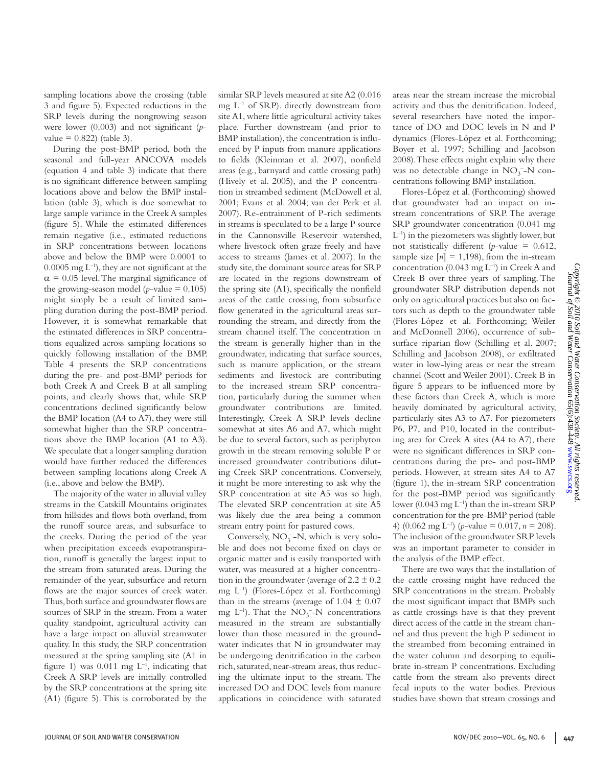sampling locations above the crossing (table 3 and figure 5). Expected reductions in the SRP levels during the nongrowing season were lower (0.003) and not significant (*p* $value = 0.822$  (table 3).

During the post-BMP period, both the seasonal and full-year ANCOVA models (equation 4 and table 3) indicate that there is no significant difference between sampling locations above and below the BMP installation (table 3), which is due somewhat to large sample variance in the Creek A samples (figure 5). While the estimated differences remain negative (i.e., estimated reductions in SRP concentrations between locations above and below the BMP were 0.0001 to  $0.0005$  mg  $L^{-1}$ ), they are not significant at the  $\alpha$  = 0.05 level. The marginal significance of the growing-season model ( $p$ -value = 0.105) might simply be a result of limited sampling duration during the post-BMP period. However, it is somewhat remarkable that the estimated differences in SRP concentrations equalized across sampling locations so quickly following installation of the BMP. Table 4 presents the SRP concentrations during the pre- and post-BMP periods for both Creek A and Creek B at all sampling points, and clearly shows that, while SRP concentrations declined significantly below the BMP location (A4 to A7), they were still somewhat higher than the SRP concentrations above the BMP location (A1 to A3). We speculate that a longer sampling duration would have further reduced the differences between sampling locations along Creek A (i.e., above and below the BMP).

The majority of the water in alluvial valley streams in the Catskill Mountains originates from hillsides and flows both overland, from the runoff source areas, and subsurface to the creeks. During the period of the year when precipitation exceeds evapotranspiration, runoff is generally the largest input to the stream from saturated areas. During the remainder of the year, subsurface and return flows are the major sources of creek water. Thus, both surface and groundwater flows are sources of SRP in the stream. From a water quality standpoint, agricultural activity can have a large impact on alluvial streamwater quality. In this study, the SRP concentration measured at the spring sampling site (A1 in figure 1) was  $0.011$  mg  $L^{-1}$ , indicating that Creek A SRP levels are initially controlled by the SRP concentrations at the spring site (A1) (figure 5). This is corroborated by the

similar SRP levels measured at site A2 (0.016 mg L–1 of SRP). directly downstream from site A1, where little agricultural activity takes place. Further downstream (and prior to BMP installation), the concentration is influenced by P inputs from manure applications to fields (Kleinman et al. 2007), nonfield areas (e.g., barnyard and cattle crossing path) (Hively et al. 2005), and the P concentration in streambed sediment (McDowell et al. 2001; Evans et al. 2004; van der Perk et al. 2007). Re-entrainment of P-rich sediments in streams is speculated to be a large P source in the Cannonsville Reservoir watershed, where livestock often graze freely and have access to streams (James et al. 2007). In the study site, the dominant source areas for SRP are located in the regions downstream of the spring site (A1), specifically the nonfield areas of the cattle crossing, from subsurface flow generated in the agricultural areas surrounding the stream, and directly from the stream channel itself. The concentration in the stream is generally higher than in the groundwater, indicating that surface sources, such as manure application, or the stream sediments and livestock are contributing to the increased stream SRP concentration, particularly during the summer when groundwater contributions are limited. Interestingly, Creek A SRP levels decline somewhat at sites A6 and A7, which might be due to several factors, such as periphyton growth in the stream removing soluble P or increased groundwater contributions diluting Creek SRP concentrations. Conversely, it might be more interesting to ask why the SRP concentration at site A5 was so high. The elevated SRP concentration at site A5 was likely due the area being a common stream entry point for pastured cows.

Conversely,  $NO_3^-$ -N, which is very soluble and does not become fixed on clays or organic matter and is easily transported with water, was measured at a higher concentration in the groundwater (average of  $2.2 \pm 0.2$ ) mg L–1) (Flores-López et al. Forthcoming) than in the streams (average of  $1.04 \pm 0.07$ mg  $L^{-1}$ ). That the  $NO_3^-$ -N concentrations measured in the stream are substantially lower than those measured in the groundwater indicates that N in groundwater may be undergoing denitrification in the carbon rich, saturated, near-stream areas, thus reducing the ultimate input to the stream. The increased DO and DOC levels from manure applications in coincidence with saturated

areas near the stream increase the microbial activity and thus the denitrification. Indeed, several researchers have noted the importance of DO and DOC levels in N and P dynamics (Flores-López et al. Forthcoming; Boyer et al. 1997; Schilling and Jacobson 2008). These effects might explain why there was no detectable change in  $NO_3^-$ -N concentrations following BMP installation.

Flores-López et al. (Forthcoming) showed that groundwater had an impact on instream concentrations of SRP. The average SRP groundwater concentration (0.041 mg  $L^{-1}$ ) in the piezometers was slightly lower, but not statistically different ( $p$ -value = 0.612, sample size  $[n] = 1,198$ , from the in-stream concentration (0.043 mg  $L^{-1}$ ) in Creek A and Creek B over three years of sampling. The groundwater SRP distribution depends not only on agricultural practices but also on factors such as depth to the groundwater table (Flores-López et al. Forthcoming; Weiler and McDonnell 2006), occurrence of subsurface riparian flow (Schilling et al. 2007; Schilling and Jacobson 2008), or exfiltrated water in low-lying areas or near the stream channel (Scott and Weiler 2001). Creek B in figure 5 appears to be influenced more by these factors than Creek A, which is more heavily dominated by agricultural activity, particularly sites A3 to A7. For piezometers P6, P7, and P10, located in the contributing area for Creek A sites (A4 to A7), there were no significant differences in SRP concentrations during the pre- and post-BMP periods. However, at stream sites A4 to A7 (figure 1), the in-stream SRP concentration for the post-BMP period was significantly lower (0.043 mg L<sup>-1</sup>) than the in-stream SRP concentration for the pre-BMP period (table 4) (0.062 mg L<sup>-1</sup>) (*p*-value = 0.017, *n* = 208). The inclusion of the groundwater SRP levels was an important parameter to consider in the analysis of the BMP effect.

There are two ways that the installation of the cattle crossing might have reduced the SRP concentrations in the stream. Probably the most significant impact that BMPs such as cattle crossings have is that they prevent direct access of the cattle in the stream channel and thus prevent the high P sediment in the streambed from becoming entrained in the water column and desorping to equilibrate in-stream P concentrations. Excluding cattle from the stream also prevents direct fecal inputs to the water bodies. Previous studies have shown that stream crossings and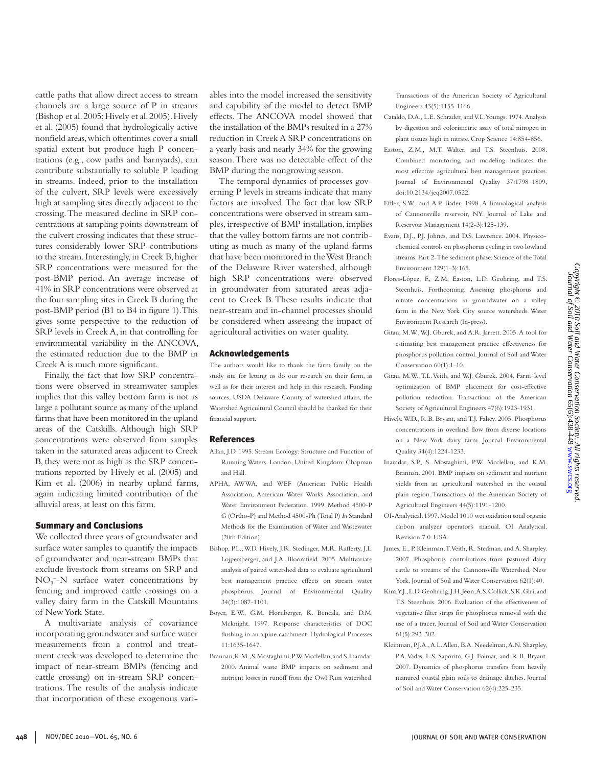cattle paths that allow direct access to stream channels are a large source of P in streams (Bishop et al. 2005; Hively et al. 2005). Hively et al. (2005) found that hydrologically active nonfield areas, which oftentimes cover a small spatial extent but produce high P concentrations (e.g., cow paths and barnyards), can contribute substantially to soluble P loading in streams. Indeed, prior to the installation of the culvert, SRP levels were excessively high at sampling sites directly adjacent to the crossing. The measured decline in SRP concentrations at sampling points downstream of the culvert crossing indicates that these structures considerably lower SRP contributions to the stream. Interestingly, in Creek B, higher SRP concentrations were measured for the post-BMP period. An average increase of 41% in SRP concentrations were observed at the four sampling sites in Creek B during the post-BMP period (B1 to B4 in figure 1). This gives some perspective to the reduction of SRP levels in Creek A, in that controlling for environmental variability in the ANCOVA, the estimated reduction due to the BMP in Creek A is much more significant.

Finally, the fact that low SRP concentrations were observed in streamwater samples implies that this valley bottom farm is not as large a pollutant source as many of the upland farms that have been monitored in the upland areas of the Catskills. Although high SRP concentrations were observed from samples taken in the saturated areas adjacent to Creek B, they were not as high as the SRP concentrations reported by Hively et al. (2005) and Kim et al. (2006) in nearby upland farms, again indicating limited contribution of the alluvial areas, at least on this farm.

#### Summary and Conclusions

We collected three years of groundwater and surface water samples to quantify the impacts of groundwater and near-stream BMPs that exclude livestock from streams on SRP and  $NO<sub>3</sub><sup>-</sup>-N$  surface water concentrations by fencing and improved cattle crossings on a valley dairy farm in the Catskill Mountains of New York State.

A multivariate analysis of covariance incorporating groundwater and surface water measurements from a control and treatment creek was developed to determine the impact of near-stream BMPs (fencing and cattle crossing) on in-stream SRP concentrations. The results of the analysis indicate that incorporation of these exogenous variables into the model increased the sensitivity and capability of the model to detect BMP effects. The ANCOVA model showed that the installation of the BMPs resulted in a 27% reduction in Creek A SRP concentrations on a yearly basis and nearly 34% for the growing season. There was no detectable effect of the BMP during the nongrowing season.

The temporal dynamics of processes governing P levels in streams indicate that many factors are involved. The fact that low SRP concentrations were observed in stream samples, irrespective of BMP installation, implies that the valley bottom farms are not contributing as much as many of the upland farms that have been monitored in the West Branch of the Delaware River watershed, although high SRP concentrations were observed in groundwater from saturated areas adjacent to Creek B. These results indicate that near-stream and in-channel processes should be considered when assessing the impact of agricultural activities on water quality.

#### Acknowledgements

The authors would like to thank the farm family on the study site for letting us do our research on their farm, as well as for their interest and help in this research. Funding sources, USDA Delaware County of watershed affairs, the Watershed Agricultural Council should be thanked for their financial support.

#### References

- Allan, J.D. 1995. Stream Ecology: Structure and Function of Running Waters. London, United Kingdom: Chapman and Hall.
- APHA, AWWA, and WEF (American Public Health Association, American Water Works Association, and Water Environment Federation. 1999. Method 4500-P G (Ortho-P) and Method 4500-Ph (Total P) *In* Standard Methods for the Examination of Water and Wastewater (20th Edition).
- Bishop, P.L., W.D. Hively, J.R. Stedinger, M.R. Rafferty, J.L. Lojpersberger, and J.A. Bloomfield. 2005. Multivariate analysis of paired watershed data to evaluate agricultural best management practice effects on stream water phosphorus. Journal of Environmental Quality 34(3):1087-1101.
- Boyer, E.W., G.M. Hornberger, K. Bencala, and D.M. Mcknight. 1997. Response characteristics of DOC flushing in an alpine catchment. Hydrological Processes 11:1635-1647.
- Brannan, K.M., S. Mostaghimi, P.W. Mcclellan, and S. Inamdar. 2000. Animal waste BMP impacts on sediment and nutrient losses in runoff from the Owl Run watershed.

Transactions of the American Society of Agricultural Engineers 43(5):1155-1166.

- Cataldo, D.A., L.E. Schrader, and V.L. Youngs. 1974. Analysis by digestion and colorimetric assay of total nitrogen in plant tissues high in nitrate. Crop Science 14:854-856.
- Easton, Z.M., M.T. Walter, and T.S. Steenhuis. 2008. Combined monitoring and modeling indicates the most effective agricultural best management practices. Journal of Environmental Quality 37:1798–1809, doi:10.2134/jeq2007.0522.
- Effler, S.W., and A.P. Bader. 1998. A limnological analysis of Cannonsville reservoir, NY. Journal of Lake and Reservoir Management 14(2-3):125-139.
- Evans, D.J., P.J. Johnes, and D.S. Lawrence. 2004. Physicochemical controls on phosphorus cycling in two lowland streams. Part 2-The sediment phase. Science of the Total Environment 329(1-3):165.
- Flores-López, F., Z.M. Easton, L.D. Geohring, and T.S. Steenhuis. Forthcoming. Assessing phosphorus and nitrate concentrations in groundwater on a valley farm in the New York City source watersheds. Water Environment Research (In-press).
- Gitau, M.W., W.J. Gburek, and A.R. Jarrett. 2005. A tool for estimating best management practice effectiveness for phosphorus pollution control. Journal of Soil and Water Conservation 60(1):1-10.
- Gitau, M.W., T.L. Veith, and W.J. Gburek. 2004. Farm–level optimization of BMP placement for cost-effective pollution reduction. Transactions of the American Society of Agricultural Engineers 47(6):1923-1931.
- Hively, W.D., R.B. Bryant, and T.J. Fahey. 2005. Phosphorus concentrations in overland flow from diverse locations on a New York dairy farm. Journal Environmental Quality 34(4):1224-1233.
- Inamdar, S.P., S. Mostaghimi, P.W. Mcclellan, and K.M. Brannan. 2001. BMP impacts on sediment and nutrient yields from an agricultural watershed in the coastal plain region. Transactions of the American Society of Agricultural Engineers 44(5):1191-1200.
- OI-Analytical. 1997. Model 1010 wet oxidation total organic carbon analyzer operator's manual. OI Analytical. Revision 7.0. USA.
- James, E., P. Kleinman, T. Veith, R. Stedman, and A. Sharpley. 2007. Phosphorus contributions from pastured dairy cattle to streams of the Cannonsville Watershed, New York. Journal of Soil and Water Conservation 62(1):40.
- Kim, Y.J., L.D. Geohring, J.H. Jeon, A.S. Collick, S.K. Giri, and T.S. Steenhuis. 2006. Evaluation of the effectiveness of vegetative filter strips for phosphorus removal with the use of a tracer. Journal of Soil and Water Conservation 61(5):293-302.
- Kleinman, P.J.A., A.L. Allen, B.A. Needelman, A.N. Sharpley, P.A. Vadas, L.S. Saporito, G.J. Folmar, and R.B. Bryant. 2007. Dynamics of phosphorus transfers from heavily manured coastal plain soils to drainage ditches. Journal of Soil and Water Conservation 62(4):225-235.